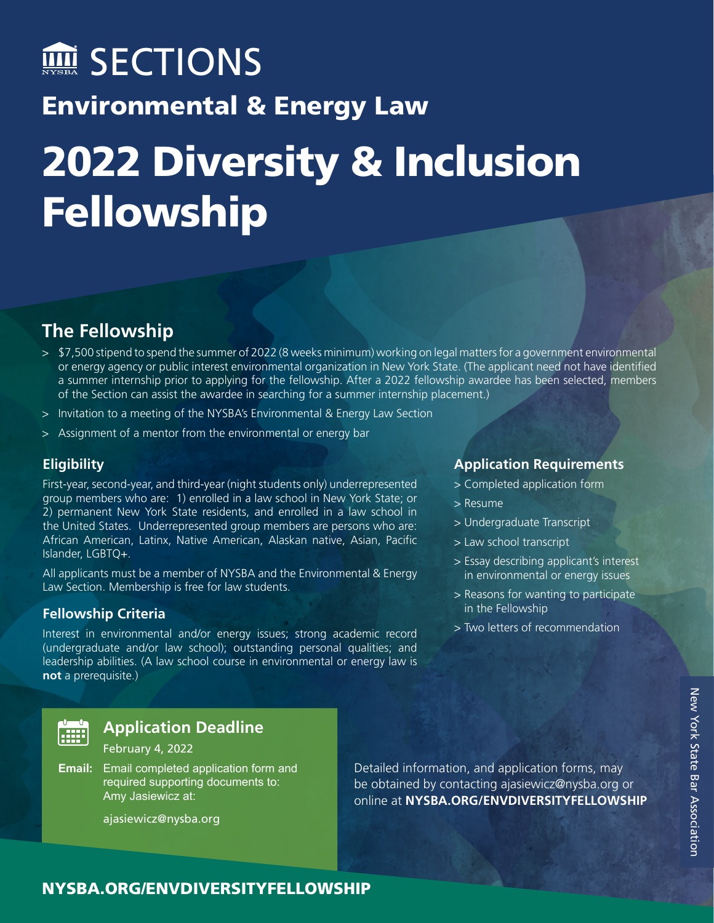# Environmental & Energy Law 2022 Diversity & Inclusion **MI SECTIONS**

# **The Fellowship**

Fellowship

- > \$7,500 stipend to spend the summer of 2022 (8 weeks minimum) working on legal matters for a government environmental or energy agency or public interest environmental organization in New York State. (The applicant need not have identified a summer internship prior to applying for the fellowship. After a 2022 fellowship awardee has been selected, members of the Section can assist the awardee in searching for a summer internship placement.)
- > Invitation to a meeting of the NYSBA's Environmental & Energy Law Section
- > Assignment of a mentor from the environmental or energy bar

#### **Eligibility**

First-year, second-year, and third-year (night students only) underrepresented group members who are: 1) enrolled in a law school in New York State; or 2) permanent New York State residents, and enrolled in a law school in the United States. Underrepresented group members are persons who are: African American, Latinx, Native American, Alaskan native, Asian, Pacific Islander, LGBTQ+.

All applicants must be a member of NYSBA and the Environmental & Energy Law Section. Membership is free for law students.

#### **Fellowship Criteria**

Interest in environmental and/or energy issues; strong academic record (undergraduate and/or law school); outstanding personal qualities; and leadership abilities. (A law school course in environmental or energy law is **not** a prerequisite.)



### **Application Deadline**

#### February 4, 2022

**Email:** Email completed application form and required supporting documents to: Amy Jasiewicz at:

[ajasiewicz@nysba.org](mailto:ajasiewicz%40nysba.org?subject=)

Detailed information, and application forms, may be obtained by contacting [ajasiewicz@nysba.org](mailto:ajasiewicz%40nysba.org?subject=) or online at **[NYSBA.ORG/ENVDIVERSITYFELLOWSHIP](http://www.nysba.org/ENVDIVERSITYFELLOWSHIP)** 

#### **Application Requirements**

- > Completed application form
- > Resume
- > Undergraduate Transcript
- > Law school transcript
- > Essay describing applicant's interest in environmental or energy issues
- > Reasons for wanting to participate in the Fellowship
- > Two letters of recommendation

## [NYSBA.ORG/ENVDIVERSITYFELLOWSHIP](http://www.nysba.org/ENVDIVERSITYFELLOWSHIP)